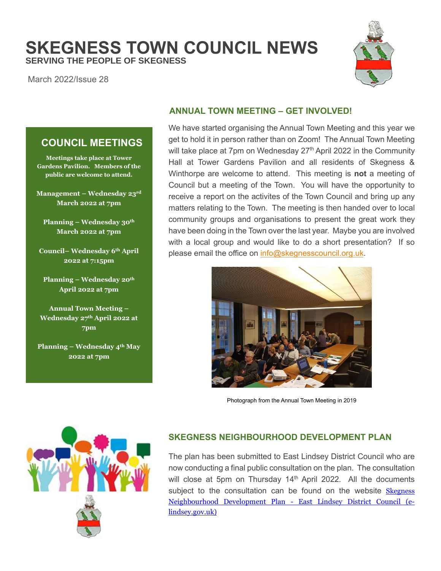# **SKEGNESS TOWN COUNCIL NEWS SERVING THE PEOPLE OF SKEGNESS**

March 2022/Issue 28

**COUNCIL MEETINGS**

**Meetings take place at Tower Gardens Pavilion. Members of the public are welcome to attend.**

**Management – Wednesday 23rd March 2022 at 7pm**

**Planning – Wednesday 30th March 2022 at 7pm**

**Council– Wednesday 6th April 2022 at 7:15pm**

**Planning – Wednesday 20th April 2022 at 7pm**

**Annual Town Meeting – Wednesday 27th April 2022 at 7pm**

**Planning – Wednesday 4th May 2022 at 7pm**



## **ANNUAL TOWN MEETING – GET INVOLVED!**

We have started organising the Annual Town Meeting and this year we get to hold it in person rather than on Zoom! The Annual Town Meeting will take place at 7pm on Wednesday 27<sup>th</sup> April 2022 in the Community Hall at Tower Gardens Pavilion and all residents of Skegness & Winthorpe are welcome to attend. This meeting is **not** a meeting of Council but a meeting of the Town. You will have the opportunity to receive a report on the activites of the Town Council and bring up any matters relating to the Town. The meeting is then handed over to local community groups and organisations to present the great work they have been doing in the Town over the last year. Maybe you are involved with a local group and would like to do a short presentation? If so please email the office on [info@skegnesscouncil.org.uk.](mailto:info@skegnesscouncil.org.uk)



Photograph from the Annual Town Meeting in 2019



## **SKEGNESS NEIGHBOURHOOD DEVELOPMENT PLAN**

The plan has been submitted to East Lindsey District Council who are now conducting a final public consultation on the plan. The consultation will close at 5pm on Thursday  $14<sup>th</sup>$  April 2022. All the documents subject to the consultation can be found on the website Skegness [Neighbourhood Development Plan -](https://www.e-lindsey.gov.uk/article/6137/Skegness-Neighbourhood-Development-Plan) East Lindsey District Council (e[lindsey.gov.uk\)](https://www.e-lindsey.gov.uk/article/6137/Skegness-Neighbourhood-Development-Plan)